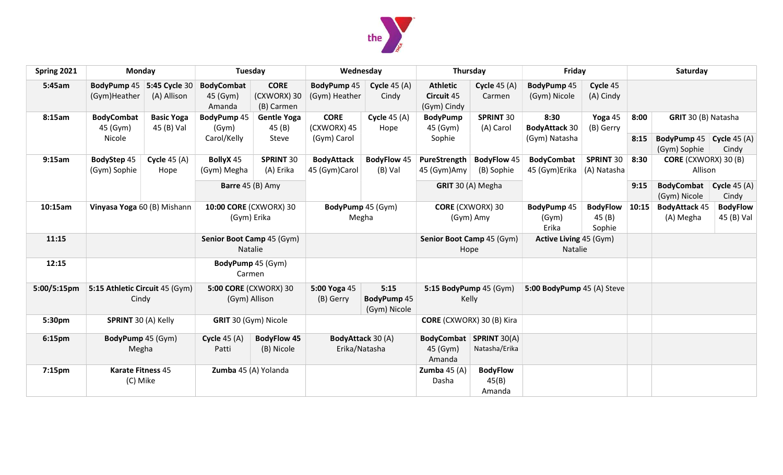

| Spring 2021 | Monday                                  |                                 | Tuesday                                       |                                          | Wednesday                                 |                                            | Thursday                                     |                                            | Friday                                        |                                    | Saturday     |                                                                 |                               |
|-------------|-----------------------------------------|---------------------------------|-----------------------------------------------|------------------------------------------|-------------------------------------------|--------------------------------------------|----------------------------------------------|--------------------------------------------|-----------------------------------------------|------------------------------------|--------------|-----------------------------------------------------------------|-------------------------------|
| 5:45am      | <b>BodyPump 45</b><br>(Gym)Heather      | 5:45 Cycle 30<br>(A) Allison    | <b>BodyCombat</b><br>45 (Gym)<br>Amanda       | <b>CORE</b><br>(CXWORX) 30<br>(B) Carmen | <b>BodyPump 45</b><br>(Gym) Heather       | Cycle $45(A)$<br>Cindy                     | <b>Athletic</b><br>Circuit 45<br>(Gym) Cindy | Cycle $45(A)$<br>Carmen                    | <b>BodyPump 45</b><br>(Gym) Nicole            | Cycle 45<br>(A) Cindy              |              |                                                                 |                               |
| 8:15am      | <b>BodyCombat</b><br>45 (Gym)<br>Nicole | <b>Basic Yoga</b><br>45 (B) Val | BodyPump 45<br>(Gym)<br>Carol/Kelly           | <b>Gentle Yoga</b><br>45(B)<br>Steve     | <b>CORE</b><br>(CXWORX) 45<br>(Gym) Carol | Cycle $45(A)$<br>Hope                      | <b>BodyPump</b><br>45 (Gym)<br>Sophie        | <b>SPRINT 30</b><br>(A) Carol              | 8:30<br><b>BodyAttack 30</b><br>(Gym) Natasha | Yoga 45<br>(B) Gerry               | 8:00<br>8:15 | GRIT 30 (B) Natasha<br>BodyPump 45 Cycle 45 (A)<br>(Gym) Sophie | Cindy                         |
| 9:15am      | BodyStep 45<br>(Gym) Sophie             | Cycle $45(A)$<br>Hope           | BollyX 45<br>(Gym) Megha                      | <b>SPRINT 30</b><br>(A) Erika            | <b>BodyAttack</b><br>45 (Gym)Carol        | <b>BodyFlow 45</b><br>(B) Val              | PureStrength<br>45 (Gym)Amy                  | <b>BodyFlow 45</b><br>(B) Sophie           | <b>BodyCombat</b><br>45 (Gym)Erika            | <b>SPRINT 30</b><br>(A) Natasha    | 8:30         | <b>CORE</b> (CXWORX) 30 (B)<br>Allison                          |                               |
|             |                                         |                                 | Barre 45 (B) Amy                              |                                          |                                           |                                            | GRIT 30 (A) Megha                            |                                            |                                               |                                    | 9:15         | <b>BodyCombat</b><br>(Gym) Nicole                               | Cycle $45(A)$<br>Cindy        |
| 10:15am     | Vinyasa Yoga 60 (B) Mishann             |                                 | 10:00 CORE (CXWORX) 30<br>(Gym) Erika         |                                          | BodyPump 45 (Gym)<br>Megha                |                                            | <b>CORE</b> (CXWORX) 30<br>(Gym) Amy         |                                            | BodyPump 45<br>(Gym)<br>Erika                 | <b>BodyFlow</b><br>45(B)<br>Sophie | 10:15        | <b>BodyAttack 45</b><br>(A) Megha                               | <b>BodyFlow</b><br>45 (B) Val |
| 11:15       |                                         |                                 | Senior Boot Camp 45 (Gym)<br>Natalie          |                                          |                                           |                                            | Senior Boot Camp 45 (Gym)<br>Hope            |                                            | <b>Active Living 45 (Gym)</b><br>Natalie      |                                    |              |                                                                 |                               |
| 12:15       |                                         |                                 | BodyPump 45 (Gym)<br>Carmen                   |                                          |                                           |                                            |                                              |                                            |                                               |                                    |              |                                                                 |                               |
| 5:00/5:15pm | 5:15 Athletic Circuit 45 (Gym)<br>Cindy |                                 | <b>5:00 CORE (CXWORX) 30</b><br>(Gym) Allison |                                          | 5:00 Yoga 45<br>(B) Gerry                 | 5:15<br><b>BodyPump 45</b><br>(Gym) Nicole | 5:15 BodyPump 45 (Gym)                       | Kelly                                      | 5:00 BodyPump 45 (A) Steve                    |                                    |              |                                                                 |                               |
| 5:30pm      | SPRINT 30 (A) Kelly                     |                                 | GRIT 30 (Gym) Nicole                          |                                          |                                           |                                            | CORE (CXWORX) 30 (B) Kira                    |                                            |                                               |                                    |              |                                                                 |                               |
| 6:15pm      | BodyPump 45 (Gym)<br>Megha              |                                 | Cycle $45(A)$<br>Patti                        | <b>BodyFlow 45</b><br>(B) Nicole         | <b>BodyAttack 30 (A)</b><br>Erika/Natasha |                                            | 45 (Gym)<br>Amanda                           | BodyCombat   SPRINT 30(A)<br>Natasha/Erika |                                               |                                    |              |                                                                 |                               |
| 7:15pm      | <b>Karate Fitness 45</b><br>(C) Mike    |                                 | Zumba 45 (A) Yolanda                          |                                          |                                           |                                            | Zumba $45(A)$<br>Dasha                       | <b>BodyFlow</b><br>45(B)<br>Amanda         |                                               |                                    |              |                                                                 |                               |